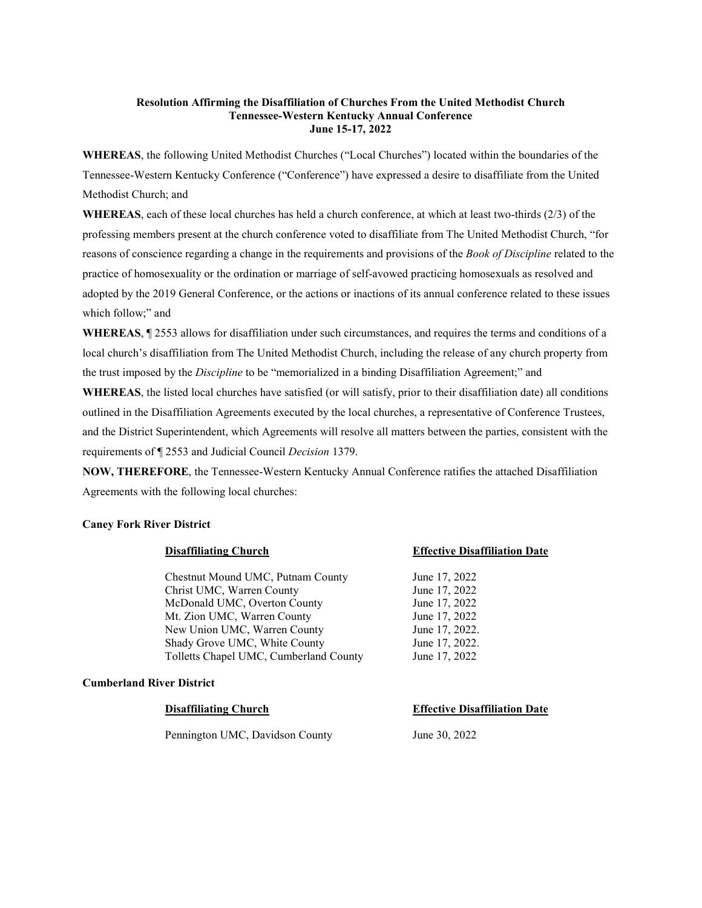### **Resolution Affirming the Disaffiliation of Churches From the United Methodist Church Tennessee-Western Kentucky Annual Conference June 15-17, 2022**

**WHEREAS**, the following United Methodist Churches ("Local Churches") located within the boundaries of the Tennessee-Western Kentucky Conference ("Conference") have expressed a desire to disaffiliate from the United Methodist Church; and

**WHEREAS**, each of these local churches has held a church conference, at which at least two-thirds (2/3) of the professing members present at the church conference voted to disaffiliate from The United Methodist Church, "for reasons of conscience regarding a change in the requirements and provisions of the *Book of Discipline* related to the practice of homosexuality or the ordination or marriage of self-avowed practicing homosexuals as resolved and adopted by the 2019 General Conference, or the actions or inactions of its annual conference related to these issues which follow;" and

**WHEREAS**, ¶ 2553 allows for disaffiliation under such circumstances, and requires the terms and conditions of a local church's disaffiliation from The United Methodist Church, including the release of any church property from the trust imposed by the *Discipline* to be "memorialized in a binding Disaffiliation Agreement;" and

**WHEREAS**, the listed local churches have satisfied (or will satisfy, prior to their disaffiliation date) all conditions outlined in the Disaffiliation Agreements executed by the local churches, a representative of Conference Trustees, and the District Superintendent, which Agreements will resolve all matters between the parties, consistent with the requirements of ¶ 2553 and Judicial Council *Decision* 1379.

**NOW, THEREFORE**, the Tennessee-Western Kentucky Annual Conference ratifies the attached Disaffiliation Agreements with the following local churches:

### **Caney Fork River District**

Chestnut Mound UMC, Putnam County June 17, 2022 Christ UMC, Warren County June 17, 2022 McDonald UMC, Overton County June 17, 2022 Mt. Zion UMC, Warren County June 17, 2022 New Union UMC, Warren County June 17, 2022. Shady Grove UMC, White County June 17, 2022. Tolletts Chapel UMC, Cumberland County June 17, 2022

### **Cumberland River District**

# **Disaffiliating Church Effective Disaffiliation Date** Pennington UMC, Davidson County June 30, 2022

# **Disaffiliating Church Effective Disaffiliation Date**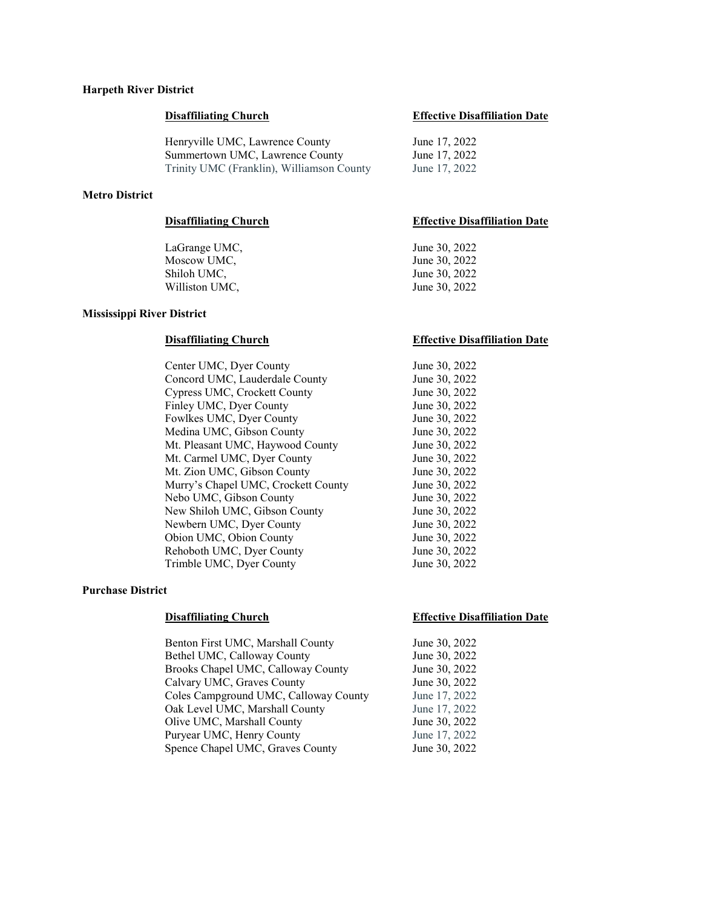## **Harpeth River District**

Henryville UMC, Lawrence County June 17, 2022 Summertown UMC, Lawrence County June 17, 2022 Trinity UMC (Franklin), Williamson County June 17, 2022

### **Metro District**

LaGrange UMC, June 30, 2022 Moscow UMC, June 30, 2022 Shiloh UMC, June 30, 2022 Williston UMC, June 30, 2022

#### **Mississippi River District**

Center UMC, Dyer County 50, 2022<br>
Concord UMC, Lauderdale County 50, 2022 Concord UMC, Lauderdale County Cypress UMC, Crockett County June 30, 2022 Finley UMC, Dyer County<br>
Fowlkes UMC, Dyer County<br>
June 30, 2022 Fowlkes UMC, Dyer County Medina UMC, Gibson County June 30, 2022 Mt. Pleasant UMC, Haywood County June 30, 2022 Mt. Carmel UMC, Dyer County June 30, 2022 Mt. Zion UMC, Gibson County June 30, 2022 Murry's Chapel UMC, Crockett County June 30, 2022<br>Nebo UMC, Gibson County June 30, 2022 Nebo UMC, Gibson County New Shiloh UMC, Gibson County June 30, 2022 Newbern UMC, Dyer County June 30, 2022 Obion UMC, Obion County June 30, 2022 Rehoboth UMC, Dyer County June 30, 2022 Trimble UMC, Dyer County June 30, 2022

#### **Purchase District**

Benton First UMC, Marshall County<br>Bethel UMC, Calloway County June 30, 2022 Bethel UMC, Calloway County Brooks Chapel UMC, Calloway County June 30, 2022 Calvary UMC, Graves County June 30, 2022<br>Coles Campground UMC, Calloway County June 17, 2022 Coles Campground UMC, Calloway County Oak Level UMC, Marshall County June 17, 2022 Olive UMC, Marshall County June 30, 2022 Puryear UMC, Henry County June 17, 2022 Spence Chapel UMC, Graves County June 30, 2022

### **Disaffiliating Church Effective Disaffiliation Date**

### **Disaffiliating Church Effective Disaffiliation Date**

#### **Disaffiliating Church Effective Disaffiliation Date**

### **Disaffiliating Church Effective Disaffiliation Date**